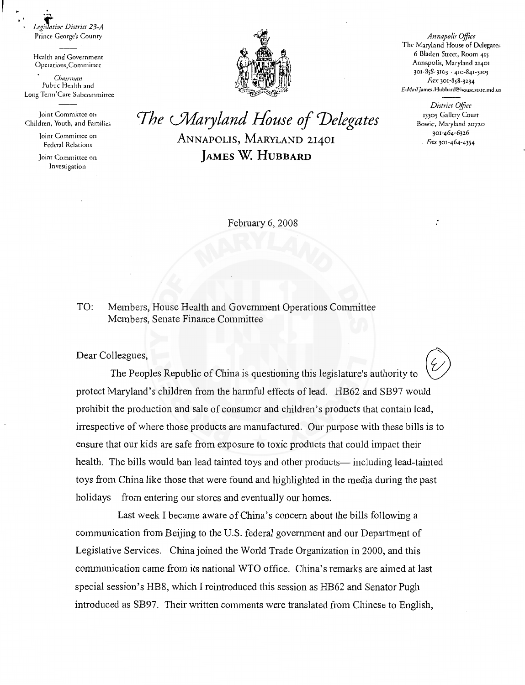*Leg!:i11e District 23-A*  Prince George's County *Annapolis Office* 

.. .....,

Health and Government Operntions,Committec

*Chairman*  Pubtic Health and Long Term' Care Subcommittee

Joint Committee on Children, Youth, and Families

> Joint Committee on Federal Relations

> Joint Commirtee on Investigation



The Maryland House of Delegates 6 Bladen Street, Room 415 Annapolis, Maryland 21401 301-858-3103 · 4w-841-3103 Fax 301-858-3234 *t:Jvlnil* James.Hubbard@housc.statc.md.us

> *District Office*  13305 Gallery Court Bowie, Maryland 20720 301-464-6326 Fax 301-464-4354

The *Maryland House of Delegates* ANNAPOLIS, MARYLAND 21401 **JAMES W. HUBBARD** 

February 6, 2008

TO: Members, House Health and Govermnent Operations Committee Members, Senate Finance Committee

Dear Colleagues,

The Peoples Republic of China is questioning this legislature's authority to protect Maryland's children from the harmful effects of lead. HB62 and SB97 would prohibit the production and sale of consumer and children's products that contain lead, irrespective of where those products are manufactured. Our purpose with these bills is to ensure that our kids are safe from exposure to toxic products that could impact their health. The bills would ban lead tainted toys and other products- including lead-tainted toys from China like those that were found and highlighted in the media during the past holidays—from entering our stores and eventually our homes.

Last week I became aware of China's concern about the bills following a communication from Beijing to the U.S. federal government and our Department of Legislative Services. China joined the World Trade Organization in 2000, and this communication came from its national WTO office. China's remarks are aimed at last special session's HB8, which I reintroduced this session as HB62 and Senator Pugh introduced as SB97. Their written comments were translated from Chinese to English,